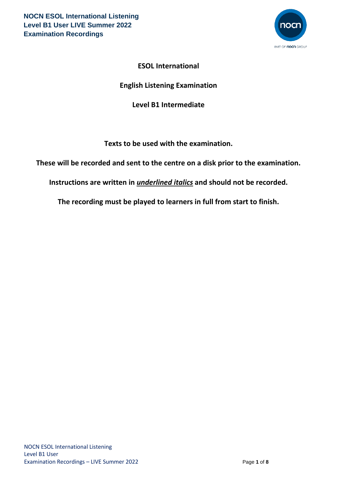

# **ESOL International**

# **English Listening Examination**

# **Level B1 Intermediate**

**Texts to be used with the examination.**

**These will be recorded and sent to the centre on a disk prior to the examination.**

**Instructions are written in** *underlined italics* **and should not be recorded.**

**The recording must be played to learners in full from start to finish.**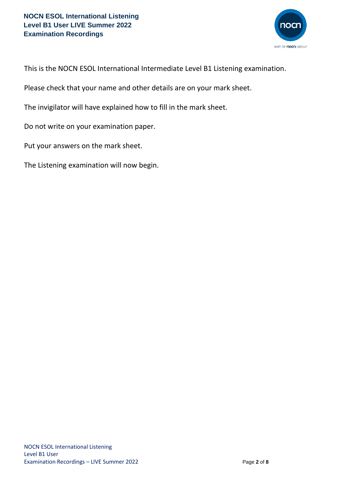

This is the NOCN ESOL International Intermediate Level B1 Listening examination.

Please check that your name and other details are on your mark sheet.

The invigilator will have explained how to fill in the mark sheet.

Do not write on your examination paper.

Put your answers on the mark sheet.

The Listening examination will now begin.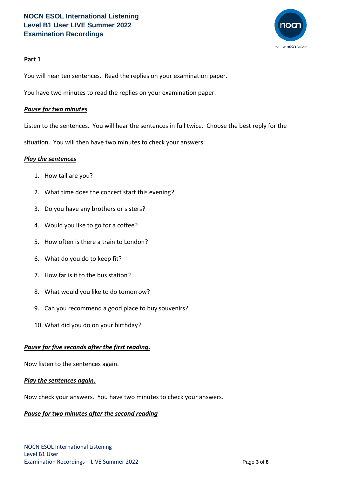

### **Part 1**

You will hear ten sentences. Read the replies on your examination paper.

You have two minutes to read the replies on your examination paper.

### *Pause for two minutes*

Listen to the sentences. You will hear the sentences in full twice. Choose the best reply for the

situation. You will then have two minutes to check your answers.

#### *Play the sentences*

- 1. How tall are you?
- 2. What time does the concert start this evening?
- 3. Do you have any brothers or sisters?
- 4. Would you like to go for a coffee?
- 5. How often is there a train to London?
- 6. What do you do to keep fit?
- 7. How far is it to the bus station?
- 8. What would you like to do tomorrow?
- 9. Can you recommend a good place to buy souvenirs?
- 10. What did you do on your birthday?

# *Pause for five seconds after the first reading.*

Now listen to the sentences again.

#### *Play the sentences again.*

Now check your answers. You have two minutes to check your answers.

#### *Pause for two minutes after the second reading*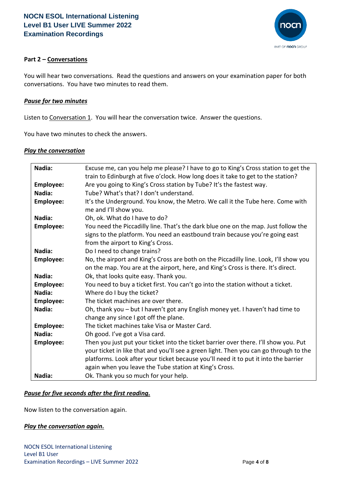

### **Part 2 – Conversations**

You will hear two conversations. Read the questions and answers on your examination paper for both conversations. You have two minutes to read them.

#### *Pause for two minutes*

Listen to Conversation 1. You will hear the conversation twice. Answer the questions.

You have two minutes to check the answers.

#### *Play the conversation*

| Nadia:           | Excuse me, can you help me please? I have to go to King's Cross station to get the    |
|------------------|---------------------------------------------------------------------------------------|
|                  | train to Edinburgh at five o'clock. How long does it take to get to the station?      |
| <b>Employee:</b> | Are you going to King's Cross station by Tube? It's the fastest way.                  |
| Nadia:           | Tube? What's that? I don't understand.                                                |
| Employee:        | It's the Underground. You know, the Metro. We call it the Tube here. Come with        |
|                  | me and I'll show you.                                                                 |
| Nadia:           | Oh, ok. What do I have to do?                                                         |
| <b>Employee:</b> | You need the Piccadilly line. That's the dark blue one on the map. Just follow the    |
|                  | signs to the platform. You need an eastbound train because you're going east          |
|                  | from the airport to King's Cross.                                                     |
| Nadia:           | Do I need to change trains?                                                           |
| Employee:        | No, the airport and King's Cross are both on the Piccadilly line. Look, I'll show you |
|                  | on the map. You are at the airport, here, and King's Cross is there. It's direct.     |
| Nadia:           | Ok, that looks quite easy. Thank you.                                                 |
| <b>Employee:</b> | You need to buy a ticket first. You can't go into the station without a ticket.       |
| Nadia:           | Where do I buy the ticket?                                                            |
| <b>Employee:</b> | The ticket machines are over there.                                                   |
| Nadia:           | Oh, thank you - but I haven't got any English money yet. I haven't had time to        |
|                  | change any since I got off the plane.                                                 |
| Employee:        | The ticket machines take Visa or Master Card.                                         |
| Nadia:           | Oh good. I've got a Visa card.                                                        |
| <b>Employee:</b> | Then you just put your ticket into the ticket barrier over there. I'll show you. Put  |
|                  | your ticket in like that and you'll see a green light. Then you can go through to the |
|                  | platforms. Look after your ticket because you'll need it to put it into the barrier   |
|                  | again when you leave the Tube station at King's Cross.                                |
| Nadia:           | Ok. Thank you so much for your help.                                                  |
|                  |                                                                                       |

#### *Pause for five seconds after the first reading.*

Now listen to the conversation again.

#### *Play the conversation again.*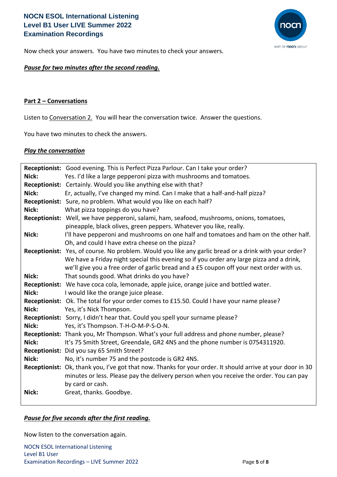# **NOCN ESOL International Listening Level B1 User LIVE Summer 2022 Examination Recordings**



Now check your answers. You have two minutes to check your answers.

### *Pause for two minutes after the second reading.*

#### **Part 2 – Conversations**

Listen to Conversation 2. You will hear the conversation twice. Answer the questions.

You have two minutes to check the answers.

#### *Play the conversation*

|       | Receptionist: Good evening. This is Perfect Pizza Parlour. Can I take your order?                          |
|-------|------------------------------------------------------------------------------------------------------------|
| Nick: | Yes. I'd like a large pepperoni pizza with mushrooms and tomatoes.                                         |
|       | Receptionist: Certainly. Would you like anything else with that?                                           |
| Nick: | Er, actually, I've changed my mind. Can I make that a half-and-half pizza?                                 |
|       | Receptionist: Sure, no problem. What would you like on each half?                                          |
| Nick: | What pizza toppings do you have?                                                                           |
|       | Receptionist: Well, we have pepperoni, salami, ham, seafood, mushrooms, onions, tomatoes,                  |
|       | pineapple, black olives, green peppers. Whatever you like, really.                                         |
| Nick: | I'll have pepperoni and mushrooms on one half and tomatoes and ham on the other half.                      |
|       | Oh, and could I have extra cheese on the pizza?                                                            |
|       | Receptionist: Yes, of course. No problem. Would you like any garlic bread or a drink with your order?      |
|       | We have a Friday night special this evening so if you order any large pizza and a drink,                   |
|       | we'll give you a free order of garlic bread and a £5 coupon off your next order with us.                   |
| Nick: | That sounds good. What drinks do you have?                                                                 |
|       | Receptionist: We have coca cola, lemonade, apple juice, orange juice and bottled water.                    |
| Nick: | I would like the orange juice please.                                                                      |
|       | Receptionist: Ok. The total for your order comes to £15.50. Could I have your name please?                 |
| Nick: | Yes, it's Nick Thompson.                                                                                   |
|       | Receptionist: Sorry, I didn't hear that. Could you spell your surname please?                              |
| Nick: | Yes, it's Thompson. T-H-O-M-P-S-O-N.                                                                       |
|       | Receptionist: Thank you, Mr Thompson. What's your full address and phone number, please?                   |
| Nick: | It's 75 Smith Street, Greendale, GR2 4NS and the phone number is 0754311920.                               |
|       | Receptionist: Did you say 65 Smith Street?                                                                 |
| Nick: | No, it's number 75 and the postcode is GR2 4NS.                                                            |
|       | Receptionist: Ok, thank you, I've got that now. Thanks for your order. It should arrive at your door in 30 |
|       | minutes or less. Please pay the delivery person when you receive the order. You can pay                    |
|       | by card or cash.                                                                                           |
| Nick: | Great, thanks. Goodbye.                                                                                    |
|       |                                                                                                            |

#### *Pause for five seconds after the first reading.*

Now listen to the conversation again.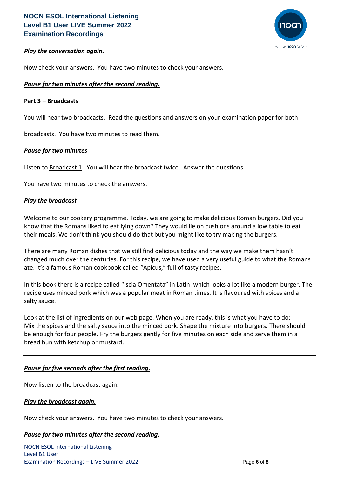

### *Play the conversation again.*

Now check your answers. You have two minutes to check your answers.

#### *Pause for two minutes after the second reading.*

#### **Part 3 – Broadcasts**

You will hear two broadcasts. Read the questions and answers on your examination paper for both

broadcasts. You have two minutes to read them.

#### *Pause for two minutes*

Listen to **Broadcast 1.** You will hear the broadcast twice. Answer the questions.

You have two minutes to check the answers.

#### *Play the broadcast*

Welcome to our cookery programme. Today, we are going to make delicious Roman burgers. Did you know that the Romans liked to eat lying down? They would lie on cushions around a low table to eat their meals. We don't think you should do that but you might like to try making the burgers.

There are many Roman dishes that we still find delicious today and the way we make them hasn't changed much over the centuries. For this recipe, we have used a very useful guide to what the Romans ate. It's a famous Roman cookbook called "Apicus," full of tasty recipes.

In this book there is a recipe called "Iscia Omentata" in Latin, which looks a lot like a modern burger. The recipe uses minced pork which was a popular meat in Roman times. It is flavoured with spices and a salty sauce.

Look at the list of ingredients on our web page. When you are ready, this is what you have to do: Mix the spices and the salty sauce into the minced pork. Shape the mixture into burgers. There should be enough for four people. Fry the burgers gently for five minutes on each side and serve them in a bread bun with ketchup or mustard.

#### *Pause for five seconds after the first reading.*

Now listen to the broadcast again.

#### *Play the broadcast again.*

Now check your answers. You have two minutes to check your answers.

#### *Pause for two minutes after the second reading.*

NOCN ESOL International Listening Level B1 User Examination Recordings – LIVE Summer 2022 Page **6** of **8**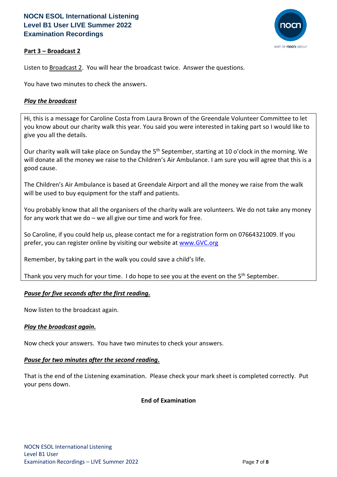# **NOCN ESOL International Listening Level B1 User LIVE Summer 2022 Examination Recordings**



# **Part 3 – Broadcast 2**

Listen to Broadcast 2. You will hear the broadcast twice. Answer the questions.

You have two minutes to check the answers.

# *Play the broadcast*

Hi, this is a message for Caroline Costa from Laura Brown of the Greendale Volunteer Committee to let you know about our charity walk this year. You said you were interested in taking part so I would like to give you all the details.

Our charity walk will take place on Sunday the 5<sup>th</sup> September, starting at 10 o'clock in the morning. We will donate all the money we raise to the Children's Air Ambulance. I am sure you will agree that this is a good cause.

The Children's Air Ambulance is based at Greendale Airport and all the money we raise from the walk will be used to buy equipment for the staff and patients.

You probably know that all the organisers of the charity walk are volunteers. We do not take any money for any work that we do  $-$  we all give our time and work for free.

So Caroline, if you could help us, please contact me for a registration form on 07664321009. If you prefer, you can register online by visiting our website at www.GVC.org

Remember, by taking part in the walk you could save a child's life.

Thank you very much for your time. I do hope to see you at the event on the 5<sup>th</sup> September.

# *Pause for five seconds after the first reading.*

Now listen to the broadcast again.

# *Play the broadcast again.*

Now check your answers. You have two minutes to check your answers.

#### *Pause for two minutes after the second reading.*

That is the end of the Listening examination. Please check your mark sheet is completed correctly. Put your pens down.

# **End of Examination**